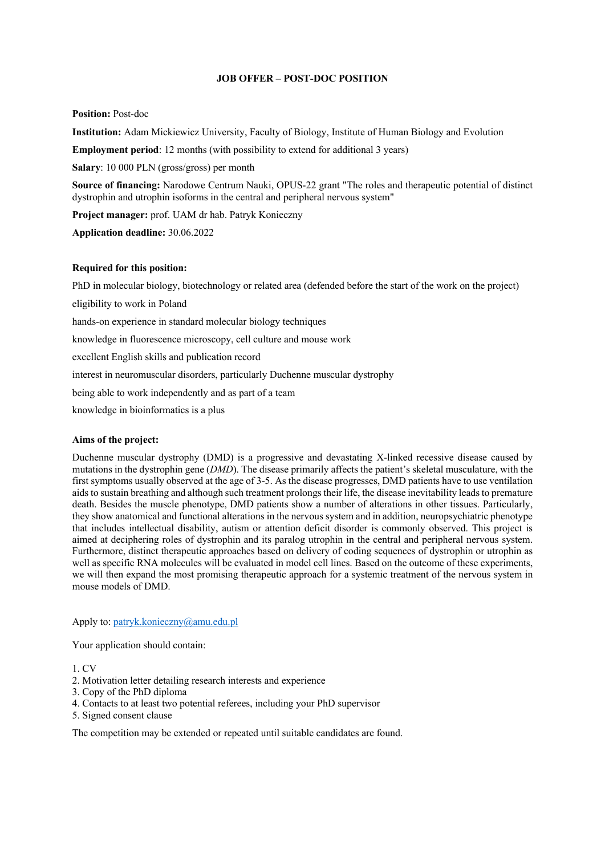# **JOB OFFER – POST-DOC POSITION**

## **Position:** Post-doc

**Institution:** Adam Mickiewicz University, Faculty of Biology, Institute of Human Biology and Evolution

**Employment period**: 12 months (with possibility to extend for additional 3 years)

**Salary**: 10 000 PLN (gross/gross) per month

**Source of financing:** Narodowe Centrum Nauki, OPUS-22 grant "The roles and therapeutic potential of distinct dystrophin and utrophin isoforms in the central and peripheral nervous system"

**Project manager:** prof. UAM dr hab. Patryk Konieczny

**Application deadline:** 30.06.2022

# **Required for this position:**

PhD in molecular biology, biotechnology or related area (defended before the start of the work on the project)

eligibility to work in Poland

hands-on experience in standard molecular biology techniques

knowledge in fluorescence microscopy, cell culture and mouse work

excellent English skills and publication record

interest in neuromuscular disorders, particularly Duchenne muscular dystrophy

being able to work independently and as part of a team

knowledge in bioinformatics is a plus

## **Aims of the project:**

Duchenne muscular dystrophy (DMD) is a progressive and devastating X-linked recessive disease caused by mutations in the dystrophin gene (*DMD*). The disease primarily affects the patient's skeletal musculature, with the first symptoms usually observed at the age of 3-5. As the disease progresses, DMD patients have to use ventilation aids to sustain breathing and although such treatment prolongs their life, the disease inevitability leads to premature death. Besides the muscle phenotype, DMD patients show a number of alterations in other tissues. Particularly, they show anatomical and functional alterations in the nervous system and in addition, neuropsychiatric phenotype that includes intellectual disability, autism or attention deficit disorder is commonly observed. This project is aimed at deciphering roles of dystrophin and its paralog utrophin in the central and peripheral nervous system. Furthermore, distinct therapeutic approaches based on delivery of coding sequences of dystrophin or utrophin as well as specific RNA molecules will be evaluated in model cell lines. Based on the outcome of these experiments, we will then expand the most promising therapeutic approach for a systemic treatment of the nervous system in mouse models of DMD.

Apply to: patryk.konieczny@amu.edu.pl

Your application should contain:

1. CV

- 2. Motivation letter detailing research interests and experience
- 3. Copy of the PhD diploma
- 4. Contacts to at least two potential referees, including your PhD supervisor
- 5. Signed consent clause

The competition may be extended or repeated until suitable candidates are found.